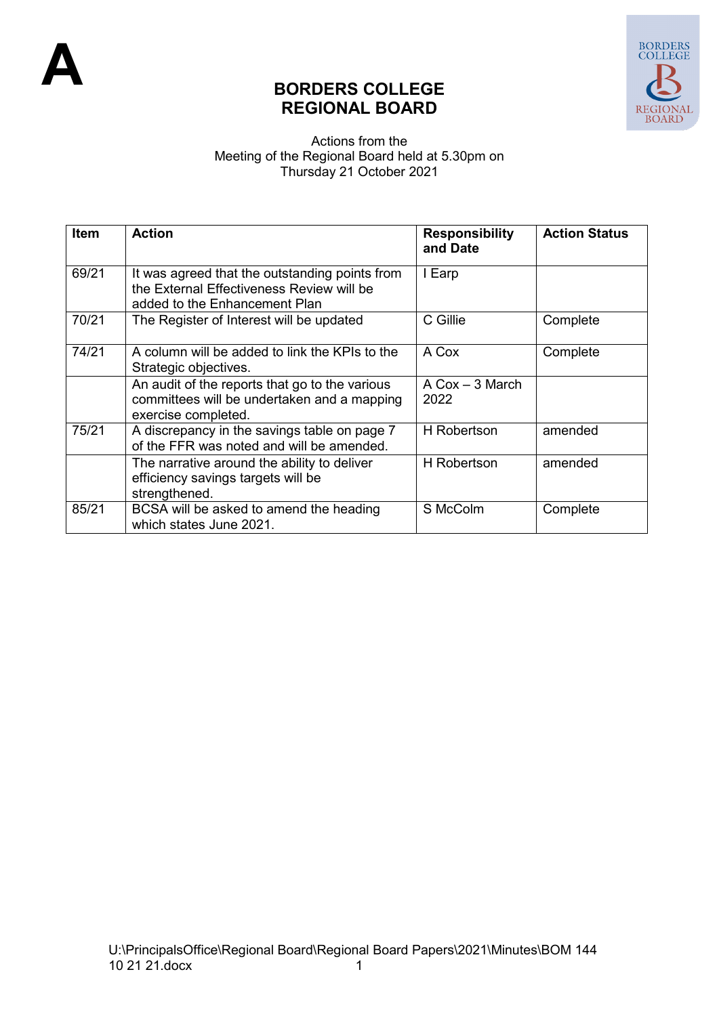

## **BORDERS COLLEGE REGIONAL BOARD**

## Actions from the Meeting of the Regional Board held at 5.30pm on Thursday 21 October 2021

| <b>Item</b> | <b>Action</b>                                                                                                                | <b>Responsibility</b><br>and Date         | <b>Action Status</b> |
|-------------|------------------------------------------------------------------------------------------------------------------------------|-------------------------------------------|----------------------|
| 69/21       | It was agreed that the outstanding points from<br>the External Effectiveness Review will be<br>added to the Enhancement Plan | I Earp                                    |                      |
| 70/21       | The Register of Interest will be updated                                                                                     | C Gillie                                  | Complete             |
| 74/21       | A column will be added to link the KPIs to the<br>Strategic objectives.                                                      | A Cox                                     | Complete             |
|             | An audit of the reports that go to the various<br>committees will be undertaken and a mapping<br>exercise completed.         | $A \text{ Cox} - 3 \text{ March}$<br>2022 |                      |
| 75/21       | A discrepancy in the savings table on page 7<br>of the FFR was noted and will be amended.                                    | <b>H</b> Robertson                        | amended              |
|             | The narrative around the ability to deliver<br>efficiency savings targets will be<br>strengthened.                           | H Robertson                               | amended              |
| 85/21       | BCSA will be asked to amend the heading<br>which states June 2021.                                                           | S McColm                                  | Complete             |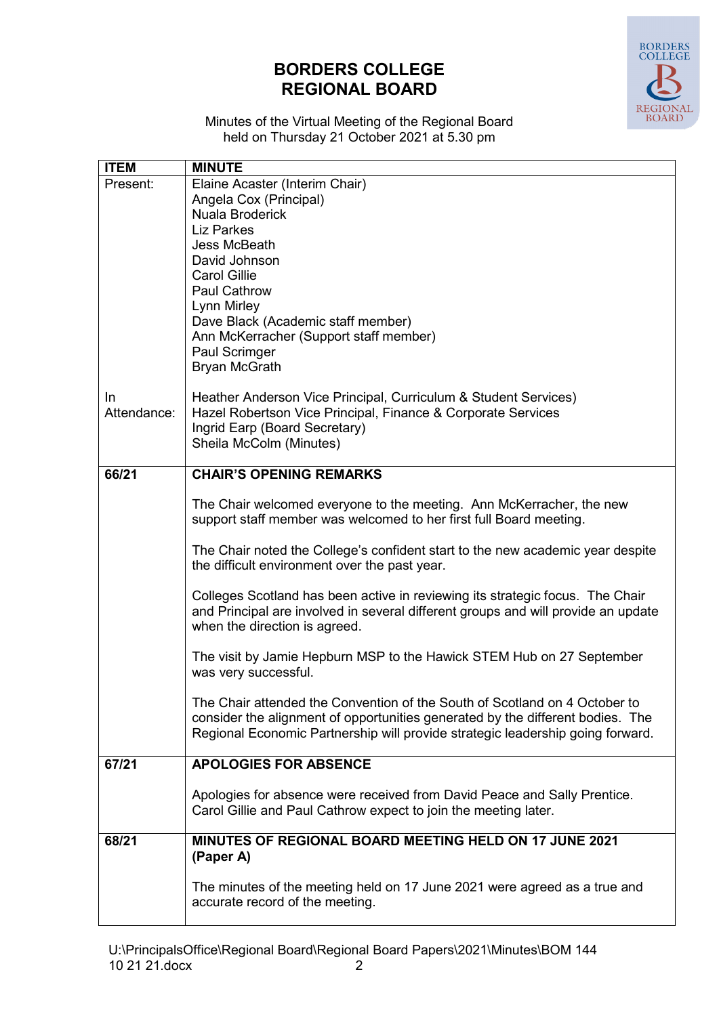## **BORDERS COLLEGE REGIONAL BOARD**



Minutes of the Virtual Meeting of the Regional Board held on Thursday 21 October 2021 at 5.30 pm

| <b>ITEM</b> | <b>MINUTE</b>                                                                                                                                                    |
|-------------|------------------------------------------------------------------------------------------------------------------------------------------------------------------|
| Present:    | Elaine Acaster (Interim Chair)                                                                                                                                   |
|             | Angela Cox (Principal)                                                                                                                                           |
|             | Nuala Broderick                                                                                                                                                  |
|             | <b>Liz Parkes</b>                                                                                                                                                |
|             | Jess McBeath                                                                                                                                                     |
|             | David Johnson                                                                                                                                                    |
|             | <b>Carol Gillie</b>                                                                                                                                              |
|             | <b>Paul Cathrow</b>                                                                                                                                              |
|             | Lynn Mirley<br>Dave Black (Academic staff member)                                                                                                                |
|             | Ann McKerracher (Support staff member)                                                                                                                           |
|             | Paul Scrimger                                                                                                                                                    |
|             | <b>Bryan McGrath</b>                                                                                                                                             |
|             |                                                                                                                                                                  |
| In.         | Heather Anderson Vice Principal, Curriculum & Student Services)                                                                                                  |
| Attendance: | Hazel Robertson Vice Principal, Finance & Corporate Services                                                                                                     |
|             | Ingrid Earp (Board Secretary)                                                                                                                                    |
|             | Sheila McColm (Minutes)                                                                                                                                          |
| 66/21       | <b>CHAIR'S OPENING REMARKS</b>                                                                                                                                   |
|             |                                                                                                                                                                  |
|             | The Chair welcomed everyone to the meeting. Ann McKerracher, the new                                                                                             |
|             | support staff member was welcomed to her first full Board meeting.                                                                                               |
|             |                                                                                                                                                                  |
|             | The Chair noted the College's confident start to the new academic year despite                                                                                   |
|             | the difficult environment over the past year.                                                                                                                    |
|             | Colleges Scotland has been active in reviewing its strategic focus. The Chair                                                                                    |
|             | and Principal are involved in several different groups and will provide an update                                                                                |
|             | when the direction is agreed.                                                                                                                                    |
|             |                                                                                                                                                                  |
|             | The visit by Jamie Hepburn MSP to the Hawick STEM Hub on 27 September                                                                                            |
|             | was very successful.                                                                                                                                             |
|             |                                                                                                                                                                  |
|             | The Chair attended the Convention of the South of Scotland on 4 October to                                                                                       |
|             | consider the alignment of opportunities generated by the different bodies. The<br>Regional Economic Partnership will provide strategic leadership going forward. |
|             |                                                                                                                                                                  |
| 67/21       | <b>APOLOGIES FOR ABSENCE</b>                                                                                                                                     |
|             |                                                                                                                                                                  |
|             | Apologies for absence were received from David Peace and Sally Prentice.                                                                                         |
|             | Carol Gillie and Paul Cathrow expect to join the meeting later.                                                                                                  |
| 68/21       | MINUTES OF REGIONAL BOARD MEETING HELD ON 17 JUNE 2021                                                                                                           |
|             | (Paper A)                                                                                                                                                        |
|             |                                                                                                                                                                  |
|             | The minutes of the meeting held on 17 June 2021 were agreed as a true and                                                                                        |
|             | accurate record of the meeting.                                                                                                                                  |
|             |                                                                                                                                                                  |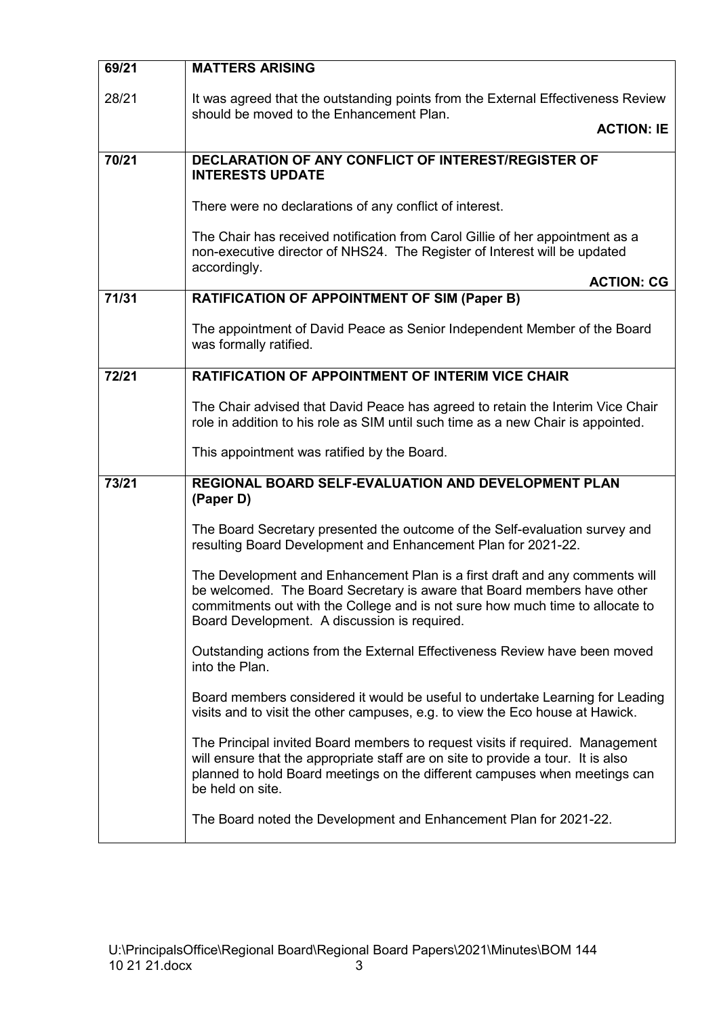| 69/21 | <b>MATTERS ARISING</b>                                                                                                                                                                                                                                                                  |  |
|-------|-----------------------------------------------------------------------------------------------------------------------------------------------------------------------------------------------------------------------------------------------------------------------------------------|--|
| 28/21 | It was agreed that the outstanding points from the External Effectiveness Review<br>should be moved to the Enhancement Plan.<br><b>ACTION: IE</b>                                                                                                                                       |  |
| 70/21 | <b>DECLARATION OF ANY CONFLICT OF INTEREST/REGISTER OF</b><br><b>INTERESTS UPDATE</b>                                                                                                                                                                                                   |  |
|       | There were no declarations of any conflict of interest.                                                                                                                                                                                                                                 |  |
|       | The Chair has received notification from Carol Gillie of her appointment as a<br>non-executive director of NHS24. The Register of Interest will be updated<br>accordingly.                                                                                                              |  |
|       | <b>ACTION: CG</b>                                                                                                                                                                                                                                                                       |  |
| 71/31 | <b>RATIFICATION OF APPOINTMENT OF SIM (Paper B)</b>                                                                                                                                                                                                                                     |  |
|       | The appointment of David Peace as Senior Independent Member of the Board<br>was formally ratified.                                                                                                                                                                                      |  |
| 72/21 | <b>RATIFICATION OF APPOINTMENT OF INTERIM VICE CHAIR</b>                                                                                                                                                                                                                                |  |
|       | The Chair advised that David Peace has agreed to retain the Interim Vice Chair<br>role in addition to his role as SIM until such time as a new Chair is appointed.                                                                                                                      |  |
|       | This appointment was ratified by the Board.                                                                                                                                                                                                                                             |  |
| 73/21 | REGIONAL BOARD SELF-EVALUATION AND DEVELOPMENT PLAN<br>(Paper D)                                                                                                                                                                                                                        |  |
|       | The Board Secretary presented the outcome of the Self-evaluation survey and<br>resulting Board Development and Enhancement Plan for 2021-22.                                                                                                                                            |  |
|       | The Development and Enhancement Plan is a first draft and any comments will<br>be welcomed. The Board Secretary is aware that Board members have other<br>commitments out with the College and is not sure how much time to allocate to<br>Board Development. A discussion is required. |  |
|       | Outstanding actions from the External Effectiveness Review have been moved<br>into the Plan.                                                                                                                                                                                            |  |
|       | Board members considered it would be useful to undertake Learning for Leading<br>visits and to visit the other campuses, e.g. to view the Eco house at Hawick.                                                                                                                          |  |
|       | The Principal invited Board members to request visits if required. Management<br>will ensure that the appropriate staff are on site to provide a tour. It is also<br>planned to hold Board meetings on the different campuses when meetings can<br>be held on site.                     |  |
|       | The Board noted the Development and Enhancement Plan for 2021-22.                                                                                                                                                                                                                       |  |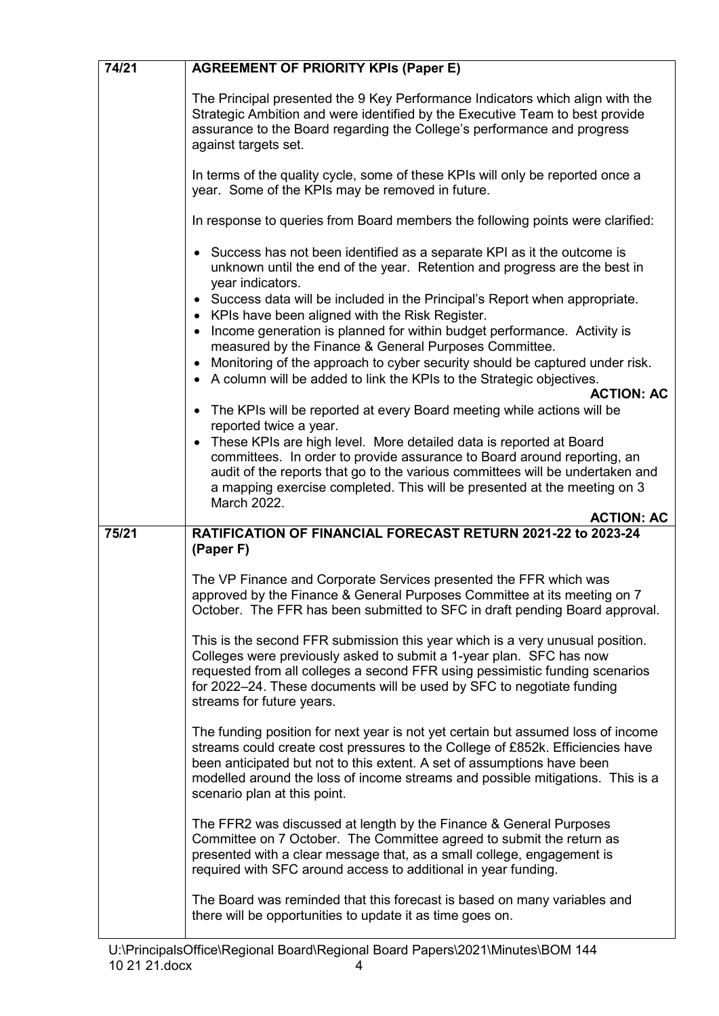| 74/21 | <b>AGREEMENT OF PRIORITY KPIs (Paper E)</b>                                                                                                                                                                                                                                                                                                                     |  |
|-------|-----------------------------------------------------------------------------------------------------------------------------------------------------------------------------------------------------------------------------------------------------------------------------------------------------------------------------------------------------------------|--|
|       | The Principal presented the 9 Key Performance Indicators which align with the<br>Strategic Ambition and were identified by the Executive Team to best provide<br>assurance to the Board regarding the College's performance and progress<br>against targets set.                                                                                                |  |
|       | In terms of the quality cycle, some of these KPIs will only be reported once a<br>year. Some of the KPIs may be removed in future.                                                                                                                                                                                                                              |  |
|       | In response to queries from Board members the following points were clarified:                                                                                                                                                                                                                                                                                  |  |
|       | Success has not been identified as a separate KPI as it the outcome is<br>unknown until the end of the year. Retention and progress are the best in<br>year indicators.<br>Success data will be included in the Principal's Report when appropriate.                                                                                                            |  |
|       | KPIs have been aligned with the Risk Register.<br>Income generation is planned for within budget performance. Activity is<br>measured by the Finance & General Purposes Committee.                                                                                                                                                                              |  |
|       | Monitoring of the approach to cyber security should be captured under risk.                                                                                                                                                                                                                                                                                     |  |
|       | A column will be added to link the KPIs to the Strategic objectives.<br><b>ACTION: AC</b>                                                                                                                                                                                                                                                                       |  |
|       | The KPIs will be reported at every Board meeting while actions will be<br>reported twice a year.                                                                                                                                                                                                                                                                |  |
|       | These KPIs are high level. More detailed data is reported at Board                                                                                                                                                                                                                                                                                              |  |
|       | committees. In order to provide assurance to Board around reporting, an                                                                                                                                                                                                                                                                                         |  |
|       | audit of the reports that go to the various committees will be undertaken and<br>a mapping exercise completed. This will be presented at the meeting on 3                                                                                                                                                                                                       |  |
|       | March 2022.<br><b>ACTION: AC</b>                                                                                                                                                                                                                                                                                                                                |  |
| 75/21 | RATIFICATION OF FINANCIAL FORECAST RETURN 2021-22 to 2023-24                                                                                                                                                                                                                                                                                                    |  |
|       | (Paper F)                                                                                                                                                                                                                                                                                                                                                       |  |
|       | The VP Finance and Corporate Services presented the FFR which was<br>approved by the Finance & General Purposes Committee at its meeting on 7<br>October. The FFR has been submitted to SFC in draft pending Board approval.                                                                                                                                    |  |
|       | This is the second FFR submission this year which is a very unusual position.<br>Colleges were previously asked to submit a 1-year plan. SFC has now                                                                                                                                                                                                            |  |
|       | requested from all colleges a second FFR using pessimistic funding scenarios<br>for 2022-24. These documents will be used by SFC to negotiate funding<br>streams for future years.                                                                                                                                                                              |  |
|       | The funding position for next year is not yet certain but assumed loss of income<br>streams could create cost pressures to the College of £852k. Efficiencies have<br>been anticipated but not to this extent. A set of assumptions have been<br>modelled around the loss of income streams and possible mitigations. This is a<br>scenario plan at this point. |  |
|       | The FFR2 was discussed at length by the Finance & General Purposes<br>Committee on 7 October. The Committee agreed to submit the return as<br>presented with a clear message that, as a small college, engagement is<br>required with SFC around access to additional in year funding.                                                                          |  |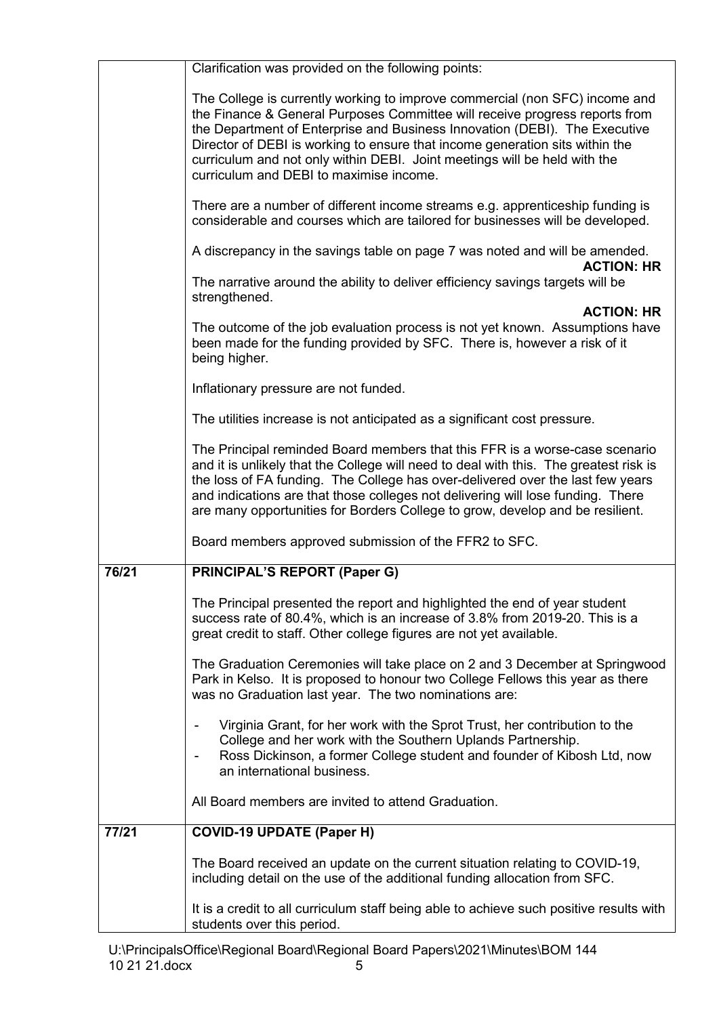|       | Clarification was provided on the following points:                                                                                                                                                                                                                                                                                                                                                                                              |  |
|-------|--------------------------------------------------------------------------------------------------------------------------------------------------------------------------------------------------------------------------------------------------------------------------------------------------------------------------------------------------------------------------------------------------------------------------------------------------|--|
|       | The College is currently working to improve commercial (non SFC) income and<br>the Finance & General Purposes Committee will receive progress reports from<br>the Department of Enterprise and Business Innovation (DEBI). The Executive<br>Director of DEBI is working to ensure that income generation sits within the<br>curriculum and not only within DEBI. Joint meetings will be held with the<br>curriculum and DEBI to maximise income. |  |
|       | There are a number of different income streams e.g. apprenticeship funding is<br>considerable and courses which are tailored for businesses will be developed.                                                                                                                                                                                                                                                                                   |  |
|       | A discrepancy in the savings table on page 7 was noted and will be amended.<br><b>ACTION: HR</b>                                                                                                                                                                                                                                                                                                                                                 |  |
|       | The narrative around the ability to deliver efficiency savings targets will be<br>strengthened.<br><b>ACTION: HR</b>                                                                                                                                                                                                                                                                                                                             |  |
|       | The outcome of the job evaluation process is not yet known. Assumptions have<br>been made for the funding provided by SFC. There is, however a risk of it<br>being higher.                                                                                                                                                                                                                                                                       |  |
|       | Inflationary pressure are not funded.                                                                                                                                                                                                                                                                                                                                                                                                            |  |
|       | The utilities increase is not anticipated as a significant cost pressure.                                                                                                                                                                                                                                                                                                                                                                        |  |
|       | The Principal reminded Board members that this FFR is a worse-case scenario<br>and it is unlikely that the College will need to deal with this. The greatest risk is<br>the loss of FA funding. The College has over-delivered over the last few years<br>and indications are that those colleges not delivering will lose funding. There<br>are many opportunities for Borders College to grow, develop and be resilient.                       |  |
|       | Board members approved submission of the FFR2 to SFC.                                                                                                                                                                                                                                                                                                                                                                                            |  |
| 76/21 | <b>PRINCIPAL'S REPORT (Paper G)</b>                                                                                                                                                                                                                                                                                                                                                                                                              |  |
|       | The Principal presented the report and highlighted the end of year student<br>success rate of 80.4%, which is an increase of 3.8% from 2019-20. This is a<br>great credit to staff. Other college figures are not yet available.                                                                                                                                                                                                                 |  |
|       | The Graduation Ceremonies will take place on 2 and 3 December at Springwood<br>Park in Kelso. It is proposed to honour two College Fellows this year as there<br>was no Graduation last year. The two nominations are:                                                                                                                                                                                                                           |  |
|       | Virginia Grant, for her work with the Sprot Trust, her contribution to the<br>College and her work with the Southern Uplands Partnership.<br>Ross Dickinson, a former College student and founder of Kibosh Ltd, now<br>an international business.                                                                                                                                                                                               |  |
|       | All Board members are invited to attend Graduation.                                                                                                                                                                                                                                                                                                                                                                                              |  |
| 77/21 | <b>COVID-19 UPDATE (Paper H)</b>                                                                                                                                                                                                                                                                                                                                                                                                                 |  |
|       | The Board received an update on the current situation relating to COVID-19,<br>including detail on the use of the additional funding allocation from SFC.                                                                                                                                                                                                                                                                                        |  |
|       | It is a credit to all curriculum staff being able to achieve such positive results with<br>students over this period.                                                                                                                                                                                                                                                                                                                            |  |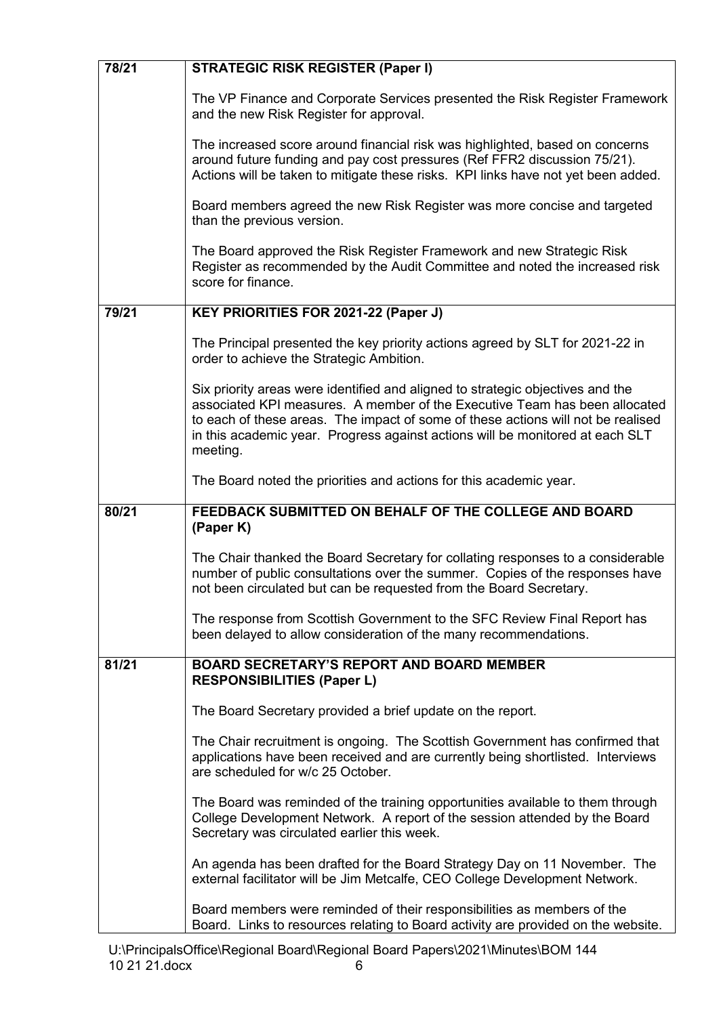| 78/21 | <b>STRATEGIC RISK REGISTER (Paper I)</b>                                                                                                                                                                                                                                                                                                      |
|-------|-----------------------------------------------------------------------------------------------------------------------------------------------------------------------------------------------------------------------------------------------------------------------------------------------------------------------------------------------|
|       | The VP Finance and Corporate Services presented the Risk Register Framework<br>and the new Risk Register for approval.                                                                                                                                                                                                                        |
|       | The increased score around financial risk was highlighted, based on concerns<br>around future funding and pay cost pressures (Ref FFR2 discussion 75/21).<br>Actions will be taken to mitigate these risks. KPI links have not yet been added.                                                                                                |
|       | Board members agreed the new Risk Register was more concise and targeted<br>than the previous version.                                                                                                                                                                                                                                        |
|       | The Board approved the Risk Register Framework and new Strategic Risk<br>Register as recommended by the Audit Committee and noted the increased risk<br>score for finance.                                                                                                                                                                    |
| 79/21 | KEY PRIORITIES FOR 2021-22 (Paper J)                                                                                                                                                                                                                                                                                                          |
|       | The Principal presented the key priority actions agreed by SLT for 2021-22 in<br>order to achieve the Strategic Ambition.                                                                                                                                                                                                                     |
|       | Six priority areas were identified and aligned to strategic objectives and the<br>associated KPI measures. A member of the Executive Team has been allocated<br>to each of these areas. The impact of some of these actions will not be realised<br>in this academic year. Progress against actions will be monitored at each SLT<br>meeting. |
|       | The Board noted the priorities and actions for this academic year.                                                                                                                                                                                                                                                                            |
| 80/21 | FEEDBACK SUBMITTED ON BEHALF OF THE COLLEGE AND BOARD<br>(Paper K)                                                                                                                                                                                                                                                                            |
|       |                                                                                                                                                                                                                                                                                                                                               |
|       |                                                                                                                                                                                                                                                                                                                                               |
|       | The Chair thanked the Board Secretary for collating responses to a considerable<br>number of public consultations over the summer. Copies of the responses have<br>not been circulated but can be requested from the Board Secretary.                                                                                                         |
|       | The response from Scottish Government to the SFC Review Final Report has<br>been delayed to allow consideration of the many recommendations.                                                                                                                                                                                                  |
| 81/21 | <b>BOARD SECRETARY'S REPORT AND BOARD MEMBER</b><br><b>RESPONSIBILITIES (Paper L)</b>                                                                                                                                                                                                                                                         |
|       | The Board Secretary provided a brief update on the report.                                                                                                                                                                                                                                                                                    |
|       | The Chair recruitment is ongoing. The Scottish Government has confirmed that<br>applications have been received and are currently being shortlisted. Interviews<br>are scheduled for w/c 25 October.                                                                                                                                          |
|       | The Board was reminded of the training opportunities available to them through<br>College Development Network. A report of the session attended by the Board<br>Secretary was circulated earlier this week.                                                                                                                                   |
|       | An agenda has been drafted for the Board Strategy Day on 11 November. The<br>external facilitator will be Jim Metcalfe, CEO College Development Network.                                                                                                                                                                                      |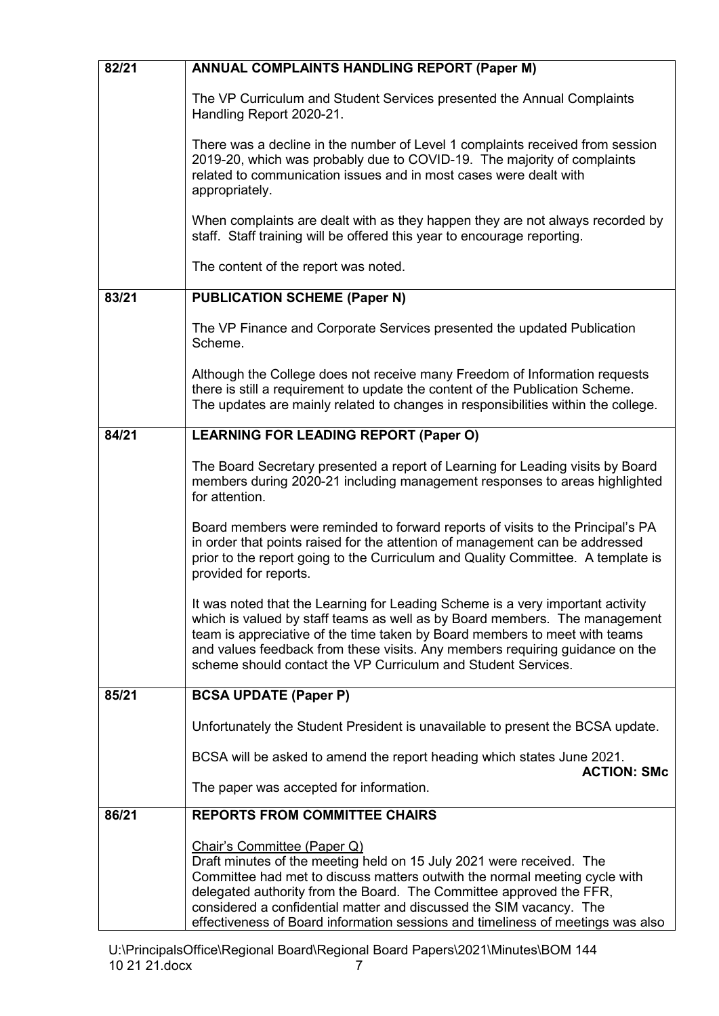| 82/21 | <b>ANNUAL COMPLAINTS HANDLING REPORT (Paper M)</b>                                                                                                                                                                                                                                                                                                                                                                 |
|-------|--------------------------------------------------------------------------------------------------------------------------------------------------------------------------------------------------------------------------------------------------------------------------------------------------------------------------------------------------------------------------------------------------------------------|
|       | The VP Curriculum and Student Services presented the Annual Complaints<br>Handling Report 2020-21.                                                                                                                                                                                                                                                                                                                 |
|       | There was a decline in the number of Level 1 complaints received from session<br>2019-20, which was probably due to COVID-19. The majority of complaints<br>related to communication issues and in most cases were dealt with<br>appropriately.                                                                                                                                                                    |
|       | When complaints are dealt with as they happen they are not always recorded by<br>staff. Staff training will be offered this year to encourage reporting.                                                                                                                                                                                                                                                           |
|       | The content of the report was noted.                                                                                                                                                                                                                                                                                                                                                                               |
| 83/21 | <b>PUBLICATION SCHEME (Paper N)</b>                                                                                                                                                                                                                                                                                                                                                                                |
|       | The VP Finance and Corporate Services presented the updated Publication<br>Scheme.                                                                                                                                                                                                                                                                                                                                 |
|       | Although the College does not receive many Freedom of Information requests<br>there is still a requirement to update the content of the Publication Scheme.<br>The updates are mainly related to changes in responsibilities within the college.                                                                                                                                                                   |
| 84/21 | <b>LEARNING FOR LEADING REPORT (Paper O)</b>                                                                                                                                                                                                                                                                                                                                                                       |
|       | The Board Secretary presented a report of Learning for Leading visits by Board<br>members during 2020-21 including management responses to areas highlighted<br>for attention.                                                                                                                                                                                                                                     |
|       | Board members were reminded to forward reports of visits to the Principal's PA<br>in order that points raised for the attention of management can be addressed<br>prior to the report going to the Curriculum and Quality Committee. A template is<br>provided for reports.                                                                                                                                        |
|       | It was noted that the Learning for Leading Scheme is a very important activity<br>which is valued by staff teams as well as by Board members. The management<br>team is appreciative of the time taken by Board members to meet with teams<br>and values feedback from these visits. Any members requiring guidance on the<br>scheme should contact the VP Curriculum and Student Services.                        |
| 85/21 | <b>BCSA UPDATE (Paper P)</b>                                                                                                                                                                                                                                                                                                                                                                                       |
|       | Unfortunately the Student President is unavailable to present the BCSA update.                                                                                                                                                                                                                                                                                                                                     |
|       | BCSA will be asked to amend the report heading which states June 2021.<br><b>ACTION: SMc</b>                                                                                                                                                                                                                                                                                                                       |
|       | The paper was accepted for information.                                                                                                                                                                                                                                                                                                                                                                            |
| 86/21 | <b>REPORTS FROM COMMITTEE CHAIRS</b>                                                                                                                                                                                                                                                                                                                                                                               |
|       | Chair's Committee (Paper Q)<br>Draft minutes of the meeting held on 15 July 2021 were received. The<br>Committee had met to discuss matters outwith the normal meeting cycle with<br>delegated authority from the Board. The Committee approved the FFR,<br>considered a confidential matter and discussed the SIM vacancy. The<br>effectiveness of Board information sessions and timeliness of meetings was also |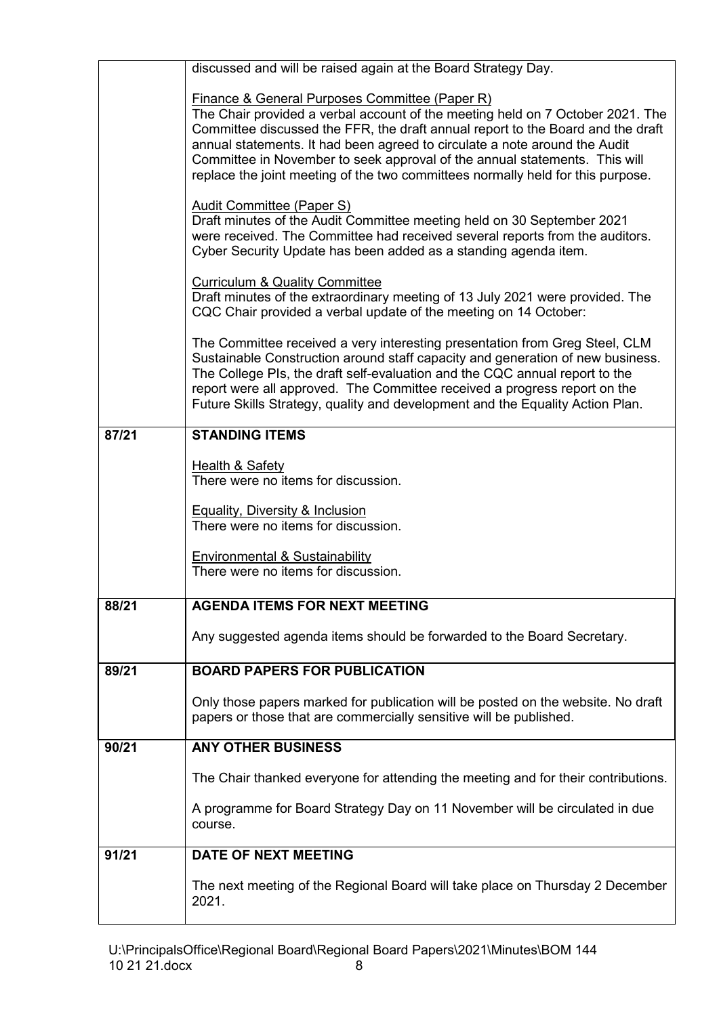|       | discussed and will be raised again at the Board Strategy Day.                                                                                                                                                                                                                                                                                                                                                                                                                                                                                                                                                                                                                                                                                                                                                                                                                |
|-------|------------------------------------------------------------------------------------------------------------------------------------------------------------------------------------------------------------------------------------------------------------------------------------------------------------------------------------------------------------------------------------------------------------------------------------------------------------------------------------------------------------------------------------------------------------------------------------------------------------------------------------------------------------------------------------------------------------------------------------------------------------------------------------------------------------------------------------------------------------------------------|
|       | <b>Finance &amp; General Purposes Committee (Paper R)</b><br>The Chair provided a verbal account of the meeting held on 7 October 2021. The<br>Committee discussed the FFR, the draft annual report to the Board and the draft<br>annual statements. It had been agreed to circulate a note around the Audit<br>Committee in November to seek approval of the annual statements. This will<br>replace the joint meeting of the two committees normally held for this purpose.<br><b>Audit Committee (Paper S)</b><br>Draft minutes of the Audit Committee meeting held on 30 September 2021<br>were received. The Committee had received several reports from the auditors.<br>Cyber Security Update has been added as a standing agenda item.<br><b>Curriculum &amp; Quality Committee</b><br>Draft minutes of the extraordinary meeting of 13 July 2021 were provided. The |
|       | CQC Chair provided a verbal update of the meeting on 14 October:<br>The Committee received a very interesting presentation from Greg Steel, CLM<br>Sustainable Construction around staff capacity and generation of new business.<br>The College PIs, the draft self-evaluation and the CQC annual report to the<br>report were all approved. The Committee received a progress report on the<br>Future Skills Strategy, quality and development and the Equality Action Plan.                                                                                                                                                                                                                                                                                                                                                                                               |
| 87/21 | <b>STANDING ITEMS</b>                                                                                                                                                                                                                                                                                                                                                                                                                                                                                                                                                                                                                                                                                                                                                                                                                                                        |
|       | <b>Health &amp; Safety</b><br>There were no items for discussion.                                                                                                                                                                                                                                                                                                                                                                                                                                                                                                                                                                                                                                                                                                                                                                                                            |
|       | <b>Equality, Diversity &amp; Inclusion</b><br>There were no items for discussion.                                                                                                                                                                                                                                                                                                                                                                                                                                                                                                                                                                                                                                                                                                                                                                                            |
|       | <b>Environmental &amp; Sustainability</b><br>There were no items for discussion.                                                                                                                                                                                                                                                                                                                                                                                                                                                                                                                                                                                                                                                                                                                                                                                             |
| 88/21 | <b>AGENDA ITEMS FOR NEXT MEETING</b>                                                                                                                                                                                                                                                                                                                                                                                                                                                                                                                                                                                                                                                                                                                                                                                                                                         |
|       | Any suggested agenda items should be forwarded to the Board Secretary.                                                                                                                                                                                                                                                                                                                                                                                                                                                                                                                                                                                                                                                                                                                                                                                                       |
| 89/21 | <b>BOARD PAPERS FOR PUBLICATION</b>                                                                                                                                                                                                                                                                                                                                                                                                                                                                                                                                                                                                                                                                                                                                                                                                                                          |
|       | Only those papers marked for publication will be posted on the website. No draft<br>papers or those that are commercially sensitive will be published.                                                                                                                                                                                                                                                                                                                                                                                                                                                                                                                                                                                                                                                                                                                       |
| 90/21 | <b>ANY OTHER BUSINESS</b>                                                                                                                                                                                                                                                                                                                                                                                                                                                                                                                                                                                                                                                                                                                                                                                                                                                    |
|       | The Chair thanked everyone for attending the meeting and for their contributions.                                                                                                                                                                                                                                                                                                                                                                                                                                                                                                                                                                                                                                                                                                                                                                                            |
|       | A programme for Board Strategy Day on 11 November will be circulated in due<br>course.                                                                                                                                                                                                                                                                                                                                                                                                                                                                                                                                                                                                                                                                                                                                                                                       |
| 91/21 | <b>DATE OF NEXT MEETING</b>                                                                                                                                                                                                                                                                                                                                                                                                                                                                                                                                                                                                                                                                                                                                                                                                                                                  |
|       | The next meeting of the Regional Board will take place on Thursday 2 December<br>2021.                                                                                                                                                                                                                                                                                                                                                                                                                                                                                                                                                                                                                                                                                                                                                                                       |